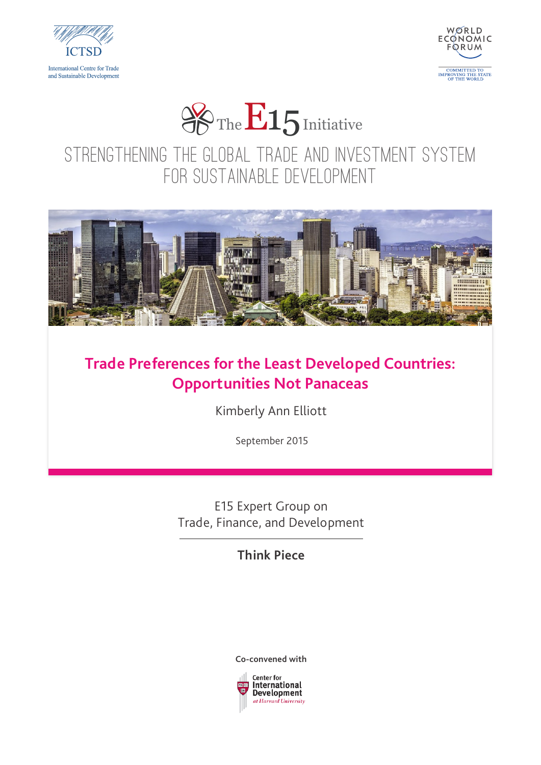





STRENGTHENING THE GLOBAL TRADE AND INVESTMENT SYSTEM FOR SUSTAINABLE DEVELOPMENT



#### **Trade Preferences for the Least Developed Countries: Opportunities Not Panaceas**

Kimberly Ann Elliott

September 2015

E15 Expert Group on Trade, Finance, and Development

**Think Piece**



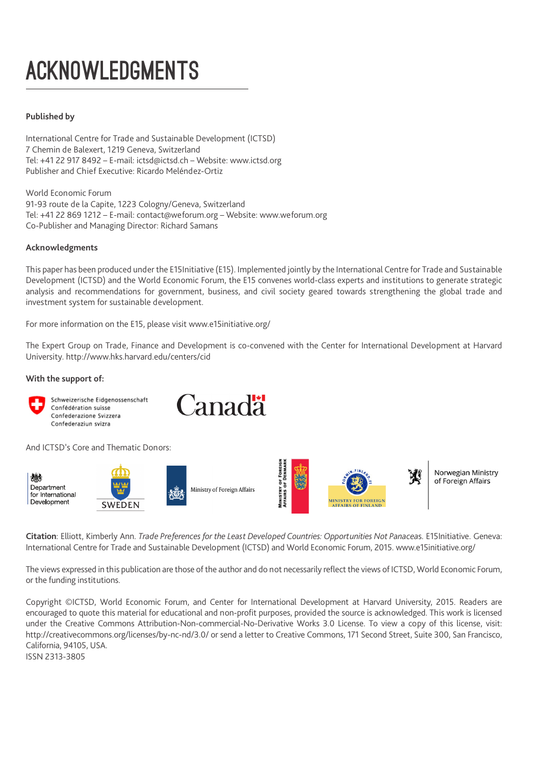## ACKNOWLEDGMENTS

#### **Published by**

International Centre for Trade and Sustainable Development (ICTSD) 7 Chemin de Balexert, 1219 Geneva, Switzerland Tel: +41 22 917 8492 – E-mail: ictsd@ictsd.ch – Website: www.ictsd.org Publisher and Chief Executive: Ricardo Meléndez-Ortiz

World Economic Forum 91-93 route de la Capite, 1223 Cologny/Geneva, Switzerland Tel: +41 22 869 1212 – E-mail: contact@weforum.org – Website: www.weforum.org Co-Publisher and Managing Director: Richard Samans

#### **Acknowledgments**

This paper has been produced under the E15Initiative (E15). Implemented jointly by the International Centre for Trade and Sustainable Development (ICTSD) and the World Economic Forum, the E15 convenes world-class experts and institutions to generate strategic analysis and recommendations for government, business, and civil society geared towards strengthening the global trade and investment system for sustainable development.

For more information on the E15, please visit www.e15initiative.org/

The Expert Group on Trade, Finance and Development is co-convened with the Center for International Development at Harvard University. http://www.hks.harvard.edu/centers/cid

**Canadä** 

#### **With the support of:**



Schweizerische Eidgenossenschaft Confédération suisse Confederazione Svizzera Confederaziun svizra

And ICTSD's Core and Thematic Donors:



**Citation**: Elliott, Kimberly Ann. *Trade Preferences for the Least Developed Countries: Opportunities Not Panacea*s. E15Initiative. Geneva: International Centre for Trade and Sustainable Development (ICTSD) and World Economic Forum, 2015. www.e15initiative.org/

The views expressed in this publication are those of the author and do not necessarily reflect the views of ICTSD, World Economic Forum, or the funding institutions.

Copyright ©ICTSD, World Economic Forum, and Center for International Development at Harvard University, 2015. Readers are encouraged to quote this material for educational and non-profit purposes, provided the source is acknowledged. This work is licensed under the Creative Commons Attribution-Non-commercial-No-Derivative Works 3.0 License. To view a copy of this license, visit: http://creativecommons.org/licenses/by-nc-nd/3.0/ or send a letter to Creative Commons, 171 Second Street, Suite 300, San Francisco, California, 94105, USA.

ISSN 2313-3805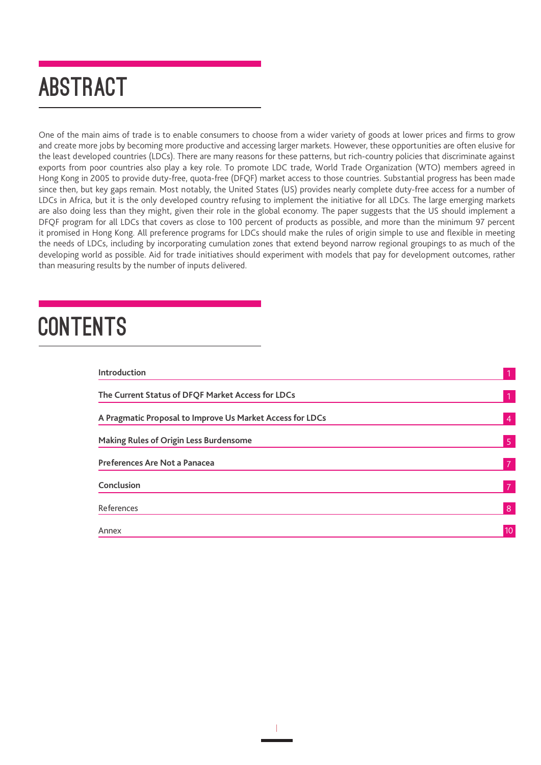### ABSTRACT

One of the main aims of trade is to enable consumers to choose from a wider variety of goods at lower prices and firms to grow and create more jobs by becoming more productive and accessing larger markets. However, these opportunities are often elusive for the least developed countries (LDCs). There are many reasons for these patterns, but rich-country policies that discriminate against exports from poor countries also play a key role. To promote LDC trade, World Trade Organization (WTO) members agreed in Hong Kong in 2005 to provide duty-free, quota-free (DFQF) market access to those countries. Substantial progress has been made since then, but key gaps remain. Most notably, the United States (US) provides nearly complete duty-free access for a number of LDCs in Africa, but it is the only developed country refusing to implement the initiative for all LDCs. The large emerging markets are also doing less than they might, given their role in the global economy. The paper suggests that the US should implement a DFQF program for all LDCs that covers as close to 100 percent of products as possible, and more than the minimum 97 percent it promised in Hong Kong. All preference programs for LDCs should make the rules of origin simple to use and flexible in meeting the needs of LDCs, including by incorporating cumulation zones that extend beyond narrow regional groupings to as much of the developing world as possible. Aid for trade initiatives should experiment with models that pay for development outcomes, rather than measuring results by the number of inputs delivered.

### **CONTENTS**

| Introduction                                              |                |
|-----------------------------------------------------------|----------------|
| The Current Status of DFQF Market Access for LDCs         | $\mathbf{1}$   |
| A Pragmatic Proposal to Improve Us Market Access for LDCs | $\overline{4}$ |
| <b>Making Rules of Origin Less Burdensome</b>             | 5 <sup>1</sup> |
| <b>Preferences Are Not a Panacea</b>                      | $\overline{7}$ |
| Conclusion                                                | 7              |
| References                                                | 8              |
| Annex                                                     | 10             |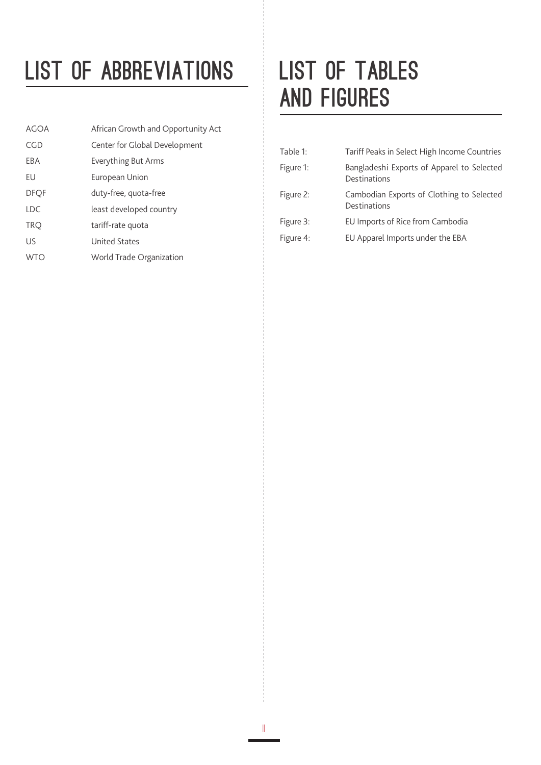### LIST OF ABBREVIATIONS | LIST OF TABLES

| AGOA        | African Growth and Opportunity Act |
|-------------|------------------------------------|
| CGD         | Center for Global Development      |
| EBA         | Everything But Arms                |
| EU          | European Union                     |
| <b>DFQF</b> | duty-free, quota-free              |
| <b>LDC</b>  | least developed country            |
| <b>TRQ</b>  | tariff-rate quota                  |
| US          | <b>United States</b>               |
| <b>WTO</b>  | World Trade Organization           |

# AND FIGURES

ii

| Table 1:  | Tariff Peaks in Select High Income Countries               |
|-----------|------------------------------------------------------------|
| Figure 1: | Bangladeshi Exports of Apparel to Selected<br>Destinations |
| Figure 2: | Cambodian Exports of Clothing to Selected<br>Destinations  |
| Figure 3: | EU Imports of Rice from Cambodia                           |
| Figure 4: | EU Apparel Imports under the EBA                           |
|           |                                                            |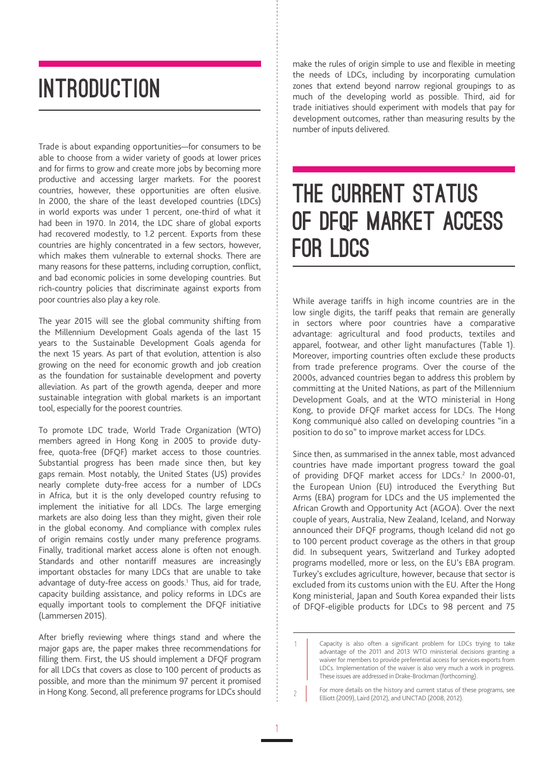#### **INTRODUCTION**

Trade is about expanding opportunities—for consumers to be able to choose from a wider variety of goods at lower prices and for firms to grow and create more jobs by becoming more productive and accessing larger markets. For the poorest countries, however, these opportunities are often elusive. In 2000, the share of the least developed countries (LDCs) in world exports was under 1 percent, one-third of what it had been in 1970. In 2014, the LDC share of global exports had recovered modestly, to 1.2 percent. Exports from these countries are highly concentrated in a few sectors, however, which makes them vulnerable to external shocks. There are many reasons for these patterns, including corruption, conflict, and bad economic policies in some developing countries. But rich-country policies that discriminate against exports from poor countries also play a key role.

The year 2015 will see the global community shifting from the Millennium Development Goals agenda of the last 15 years to the Sustainable Development Goals agenda for the next 15 years. As part of that evolution, attention is also growing on the need for economic growth and job creation as the foundation for sustainable development and poverty alleviation. As part of the growth agenda, deeper and more sustainable integration with global markets is an important tool, especially for the poorest countries.

To promote LDC trade, World Trade Organization (WTO) members agreed in Hong Kong in 2005 to provide dutyfree, quota-free (DFQF) market access to those countries. Substantial progress has been made since then, but key gaps remain. Most notably, the United States (US) provides nearly complete duty-free access for a number of LDCs in Africa, but it is the only developed country refusing to implement the initiative for all LDCs. The large emerging markets are also doing less than they might, given their role in the global economy. And compliance with complex rules of origin remains costly under many preference programs. Finally, traditional market access alone is often not enough. Standards and other nontariff measures are increasingly important obstacles for many LDCs that are unable to take advantage of duty-free access on goods.<sup>1</sup> Thus, aid for trade, capacity building assistance, and policy reforms in LDCs are equally important tools to complement the DFQF initiative (Lammersen 2015).

After briefly reviewing where things stand and where the major gaps are, the paper makes three recommendations for filling them. First, the US should implement a DFQF program for all LDCs that covers as close to 100 percent of products as possible, and more than the minimum 97 percent it promised in Hong Kong. Second, all preference programs for LDCs should

1

1

make the rules of origin simple to use and flexible in meeting the needs of LDCs, including by incorporating cumulation zones that extend beyond narrow regional groupings to as much of the developing world as possible. Third, aid for trade initiatives should experiment with models that pay for development outcomes, rather than measuring results by the number of inputs delivered.

#### THE CURRENT STATUS OF DFQF MARKET ACCESS FOR LDCS

While average tariffs in high income countries are in the low single digits, the tariff peaks that remain are generally in sectors where poor countries have a comparative advantage: agricultural and food products, textiles and apparel, footwear, and other light manufactures (Table 1). Moreover, importing countries often exclude these products from trade preference programs. Over the course of the 2000s, advanced countries began to address this problem by committing at the United Nations, as part of the Millennium Development Goals, and at the WTO ministerial in Hong Kong, to provide DFQF market access for LDCs. The Hong Kong communiqué also called on developing countries "in a position to do so" to improve market access for LDCs.

Since then, as summarised in the annex table, most advanced countries have made important progress toward the goal of providing DFQF market access for LDCs.<sup>2</sup> In 2000-01, the European Union (EU) introduced the Everything But Arms (EBA) program for LDCs and the US implemented the African Growth and Opportunity Act (AGOA). Over the next couple of years, Australia, New Zealand, Iceland, and Norway announced their DFQF programs, though Iceland did not go to 100 percent product coverage as the others in that group did. In subsequent years, Switzerland and Turkey adopted programs modelled, more or less, on the EU's EBA program. Turkey's excludes agriculture, however, because that sector is excluded from its customs union with the EU. After the Hong Kong ministerial, Japan and South Korea expanded their lists of DFQF-eligible products for LDCs to 98 percent and 75

Capacity is also often a significant problem for LDCs trying to take advantage of the 2011 and 2013 WTO ministerial decisions granting a waiver for members to provide preferential access for services exports from LDCs. Implementation of the waiver is also very much a work in progress. These issues are addressed in Drake-Brockman (forthcoming).

For more details on the history and current status of these programs, see  $\frac{2}{2}$  For more details on the history and current status of Elliott (2009), Laird (2012), and UNCTAD (2008, 2012).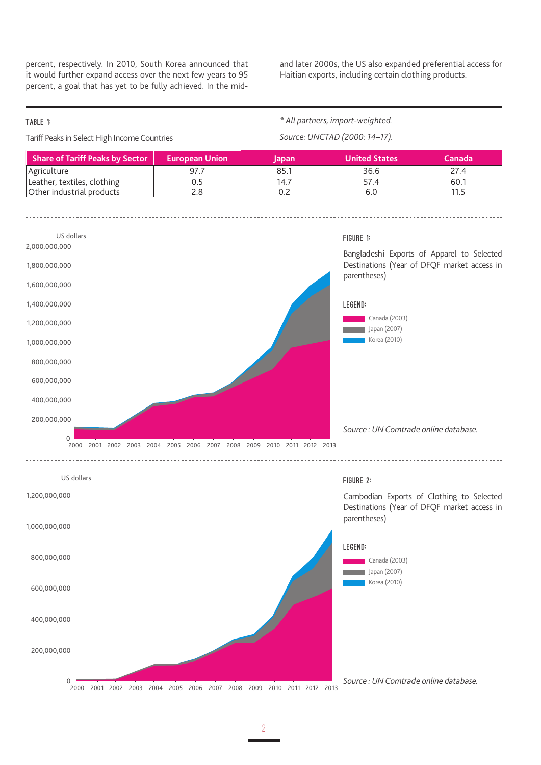percent, respectively. In 2010, South Korea announced that it would further expand access over the next few years to 95 percent, a goal that has yet to be fully achieved. In the midand later 2000s, the US also expanded preferential access for Haitian exports, including certain clothing products.

#### TABLE 1:

Tariff Peaks in Select High Income Countries

*\* All partners, import-weighted. Source: UNCTAD (2000: 14–17).*

| <b>Share of Tariff Peaks by Sector</b> | <b>European Union</b> | <b>Japan</b> | <b>United States</b> | <b>Canada</b> |
|----------------------------------------|-----------------------|--------------|----------------------|---------------|
| Agriculture                            |                       | 85.1         | 36.6                 | 77 4          |
| Leather, textiles, clothing            |                       | 14.7         | 57.4                 | 60.1          |
| Other industrial products              | Z.C                   |              | 6.C                  |               |

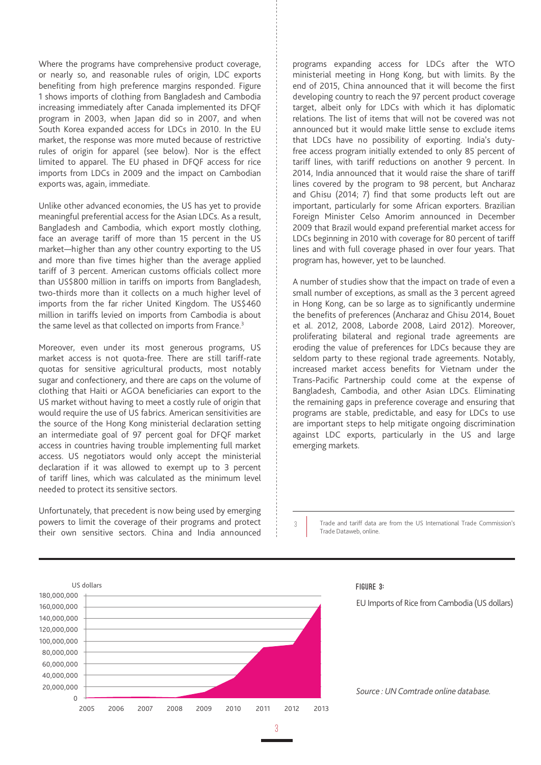Where the programs have comprehensive product coverage, or nearly so, and reasonable rules of origin, LDC exports benefiting from high preference margins responded. Figure 1 shows imports of clothing from Bangladesh and Cambodia increasing immediately after Canada implemented its DFQF program in 2003, when Japan did so in 2007, and when South Korea expanded access for LDCs in 2010. In the EU market, the response was more muted because of restrictive rules of origin for apparel (see below). Nor is the effect limited to apparel. The EU phased in DFQF access for rice imports from LDCs in 2009 and the impact on Cambodian exports was, again, immediate.

Unlike other advanced economies, the US has yet to provide meaningful preferential access for the Asian LDCs. As a result, Bangladesh and Cambodia, which export mostly clothing, face an average tariff of more than 15 percent in the US market—higher than any other country exporting to the US and more than five times higher than the average applied tariff of 3 percent. American customs officials collect more than US\$800 million in tariffs on imports from Bangladesh, two-thirds more than it collects on a much higher level of imports from the far richer United Kingdom. The US\$460 million in tariffs levied on imports from Cambodia is about the same level as that collected on imports from France.<sup>3</sup>

Moreover, even under its most generous programs, US market access is not quota-free. There are still tariff-rate quotas for sensitive agricultural products, most notably sugar and confectionery, and there are caps on the volume of clothing that Haiti or AGOA beneficiaries can export to the US market without having to meet a costly rule of origin that would require the use of US fabrics. American sensitivities are the source of the Hong Kong ministerial declaration setting an intermediate goal of 97 percent goal for DFQF market access in countries having trouble implementing full market access. US negotiators would only accept the ministerial declaration if it was allowed to exempt up to 3 percent of tariff lines, which was calculated as the minimum level needed to protect its sensitive sectors.

Unfortunately, that precedent is now being used by emerging powers to limit the coverage of their programs and protect their own sensitive sectors. China and India announced

programs expanding access for LDCs after the WTO ministerial meeting in Hong Kong, but with limits. By the end of 2015, China announced that it will become the first developing country to reach the 97 percent product coverage target, albeit only for LDCs with which it has diplomatic relations. The list of items that will not be covered was not announced but it would make little sense to exclude items that LDCs have no possibility of exporting. India's dutyfree access program initially extended to only 85 percent of tariff lines, with tariff reductions on another 9 percent. In 2014, India announced that it would raise the share of tariff lines covered by the program to 98 percent, but Ancharaz and Ghisu (2014; 7) find that some products left out are important, particularly for some African exporters. Brazilian Foreign Minister Celso Amorim announced in December 2009 that Brazil would expand preferential market access for LDCs beginning in 2010 with coverage for 80 percent of tariff lines and with full coverage phased in over four years. That program has, however, yet to be launched.

A number of studies show that the impact on trade of even a small number of exceptions, as small as the 3 percent agreed in Hong Kong, can be so large as to significantly undermine the benefits of preferences (Ancharaz and Ghisu 2014, Bouet et al. 2012, 2008, Laborde 2008, Laird 2012). Moreover, proliferating bilateral and regional trade agreements are eroding the value of preferences for LDCs because they are seldom party to these regional trade agreements. Notably, increased market access benefits for Vietnam under the Trans-Pacific Partnership could come at the expense of Bangladesh, Cambodia, and other Asian LDCs. Eliminating the remaining gaps in preference coverage and ensuring that programs are stable, predictable, and easy for LDCs to use are important steps to help mitigate ongoing discrimination against LDC exports, particularly in the US and large emerging markets.

Trade and tariff data are from the US International Trade Commission's Trade Dataweb, online.



EU Imports of Rice from Cambodia (US dollars)

*Source : UN Comtrade online database.*

3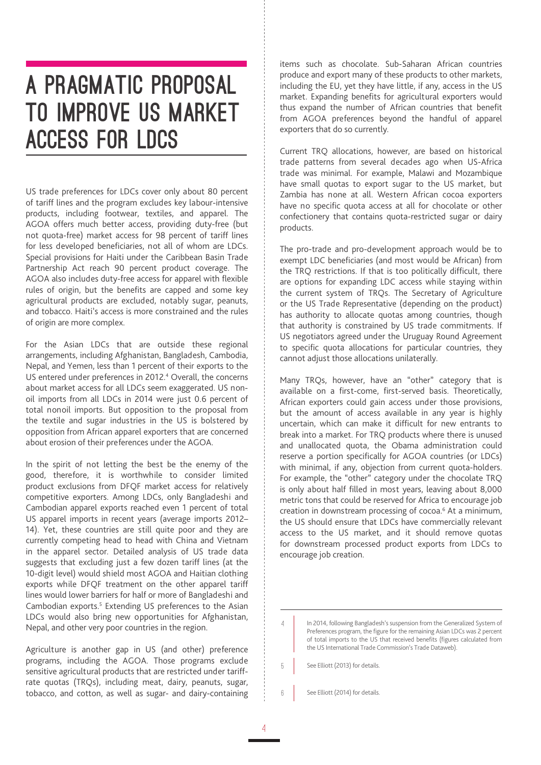#### A PRAGMATIC PROPOSAL TO IMPROVE US MARKET ACCESS FOR LDCS

US trade preferences for LDCs cover only about 80 percent of tariff lines and the program excludes key labour-intensive products, including footwear, textiles, and apparel. The AGOA offers much better access, providing duty-free (but not quota-free) market access for 98 percent of tariff lines for less developed beneficiaries, not all of whom are LDCs. Special provisions for Haiti under the Caribbean Basin Trade Partnership Act reach 90 percent product coverage. The AGOA also includes duty-free access for apparel with flexible rules of origin, but the benefits are capped and some key agricultural products are excluded, notably sugar, peanuts, and tobacco. Haiti's access is more constrained and the rules of origin are more complex.

For the Asian LDCs that are outside these regional arrangements, including Afghanistan, Bangladesh, Cambodia, Nepal, and Yemen, less than 1 percent of their exports to the US entered under preferences in 2012.<sup>4</sup> Overall, the concerns about market access for all LDCs seem exaggerated. US nonoil imports from all LDCs in 2014 were just 0.6 percent of total nonoil imports. But opposition to the proposal from the textile and sugar industries in the US is bolstered by opposition from African apparel exporters that are concerned about erosion of their preferences under the AGOA.

In the spirit of not letting the best be the enemy of the good, therefore, it is worthwhile to consider limited product exclusions from DFQF market access for relatively competitive exporters. Among LDCs, only Bangladeshi and Cambodian apparel exports reached even 1 percent of total US apparel imports in recent years (average imports 2012– 14). Yet, these countries are still quite poor and they are currently competing head to head with China and Vietnam in the apparel sector. Detailed analysis of US trade data suggests that excluding just a few dozen tariff lines (at the 10-digit level) would shield most AGOA and Haitian clothing exports while DFQF treatment on the other apparel tariff lines would lower barriers for half or more of Bangladeshi and Cambodian exports.<sup>5</sup> Extending US preferences to the Asian LDCs would also bring new opportunities for Afghanistan, Nepal, and other very poor countries in the region.

Agriculture is another gap in US (and other) preference programs, including the AGOA. Those programs exclude sensitive agricultural products that are restricted under tariffrate quotas (TRQs), including meat, dairy, peanuts, sugar, tobacco, and cotton, as well as sugar- and dairy-containing items such as chocolate. Sub-Saharan African countries produce and export many of these products to other markets, including the EU, yet they have little, if any, access in the US market. Expanding benefits for agricultural exporters would thus expand the number of African countries that benefit from AGOA preferences beyond the handful of apparel exporters that do so currently.

Current TRQ allocations, however, are based on historical trade patterns from several decades ago when US-Africa trade was minimal. For example, Malawi and Mozambique have small quotas to export sugar to the US market, but Zambia has none at all. Western African cocoa exporters have no specific quota access at all for chocolate or other confectionery that contains quota-restricted sugar or dairy products.

The pro-trade and pro-development approach would be to exempt LDC beneficiaries (and most would be African) from the TRQ restrictions. If that is too politically difficult, there are options for expanding LDC access while staying within the current system of TRQs. The Secretary of Agriculture or the US Trade Representative (depending on the product) has authority to allocate quotas among countries, though that authority is constrained by US trade commitments. If US negotiators agreed under the Uruguay Round Agreement to specific quota allocations for particular countries, they cannot adjust those allocations unilaterally.

Many TRQs, however, have an "other" category that is available on a first-come, first-served basis. Theoretically, African exporters could gain access under those provisions, but the amount of access available in any year is highly uncertain, which can make it difficult for new entrants to break into a market. For TRQ products where there is unused and unallocated quota, the Obama administration could reserve a portion specifically for AGOA countries (or LDCs) with minimal, if any, objection from current quota-holders. For example, the "other" category under the chocolate TRQ is only about half filled in most years, leaving about 8,000 metric tons that could be reserved for Africa to encourage job creation in downstream processing of cocoa.<sup>6</sup> At a minimum, the US should ensure that LDCs have commercially relevant access to the US market, and it should remove quotas for downstream processed product exports from LDCs to encourage job creation.

- See Elliott (2013) for details. 5
- See Elliott (2014) for details. 6

In 2014, following Bangladesh's suspension from the Generalized System of Preferences program, the figure for the remaining Asian LDCs was 2 percent of total imports to the US that received benefits (figures calculated from the US International Trade Commission's Trade Dataweb). 4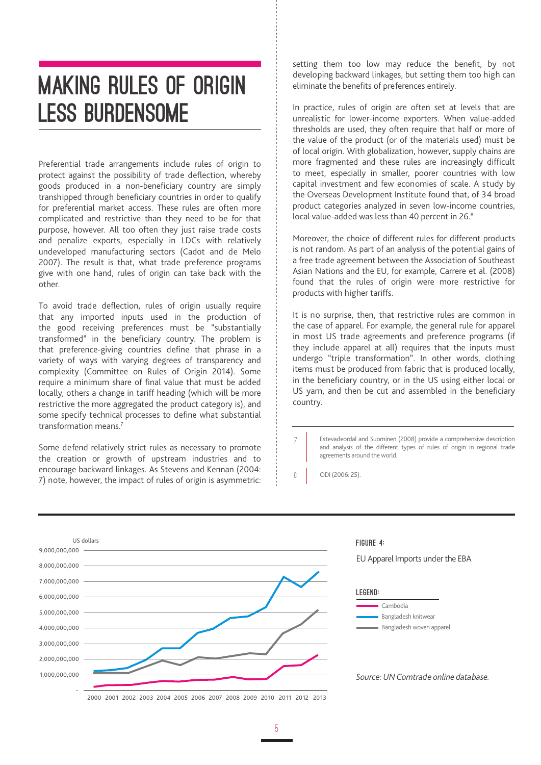#### MAKING RULES OF ORIGIN **LESS BURDENSOME**

Preferential trade arrangements include rules of origin to protect against the possibility of trade deflection, whereby goods produced in a non-beneficiary country are simply transhipped through beneficiary countries in order to qualify for preferential market access. These rules are often more complicated and restrictive than they need to be for that purpose, however. All too often they just raise trade costs and penalize exports, especially in LDCs with relatively undeveloped manufacturing sectors (Cadot and de Melo 2007). The result is that, what trade preference programs give with one hand, rules of origin can take back with the other.

To avoid trade deflection, rules of origin usually require that any imported inputs used in the production of the good receiving preferences must be "substantially transformed" in the beneficiary country. The problem is that preference-giving countries define that phrase in a variety of ways with varying degrees of transparency and complexity (Committee on Rules of Origin 2014). Some require a minimum share of final value that must be added locally, others a change in tariff heading (which will be more restrictive the more aggregated the product category is), and some specify technical processes to define what substantial transformation means.7

Some defend relatively strict rules as necessary to promote the creation or growth of upstream industries and to encourage backward linkages. As Stevens and Kennan (2004: 7) note, however, the impact of rules of origin is asymmetric: setting them too low may reduce the benefit, by not developing backward linkages, but setting them too high can eliminate the benefits of preferences entirely.

In practice, rules of origin are often set at levels that are unrealistic for lower-income exporters. When value-added thresholds are used, they often require that half or more of the value of the product (or of the materials used) must be of local origin. With globalization, however, supply chains are more fragmented and these rules are increasingly difficult to meet, especially in smaller, poorer countries with low capital investment and few economies of scale. A study by the Overseas Development Institute found that, of 34 broad product categories analyzed in seven low-income countries, local value-added was less than 40 percent in 26.8

Moreover, the choice of different rules for different products is not random. As part of an analysis of the potential gains of a free trade agreement between the Association of Southeast Asian Nations and the EU, for example, Carrere et al. (2008) found that the rules of origin were more restrictive for products with higher tariffs.

It is no surprise, then, that restrictive rules are common in the case of apparel. For example, the general rule for apparel in most US trade agreements and preference programs (if they include apparel at all) requires that the inputs must undergo "triple transformation". In other words, clothing items must be produced from fabric that is produced locally, in the beneficiary country, or in the US using either local or US yarn, and then be cut and assembled in the beneficiary country.

Estevadeordal and Suominen (2008) provide a comprehensive description and analysis of the different types of rules of origin in regional trade agreements around the world.

ODI (2006: 25).

7

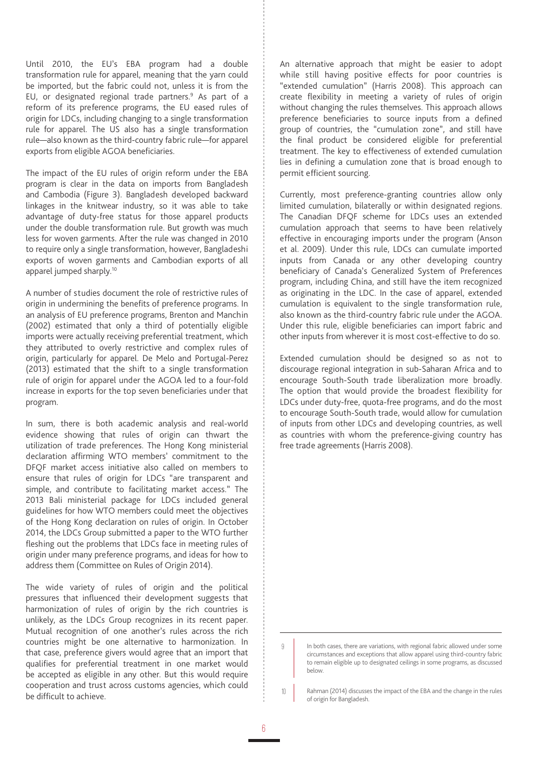Until 2010, the EU's EBA program had a double transformation rule for apparel, meaning that the yarn could be imported, but the fabric could not, unless it is from the EU, or designated regional trade partners.<sup>9</sup> As part of a reform of its preference programs, the EU eased rules of origin for LDCs, including changing to a single transformation rule for apparel. The US also has a single transformation rule—also known as the third-country fabric rule—for apparel exports from eligible AGOA beneficiaries.

The impact of the EU rules of origin reform under the EBA program is clear in the data on imports from Bangladesh and Cambodia (Figure 3). Bangladesh developed backward linkages in the knitwear industry, so it was able to take advantage of duty-free status for those apparel products under the double transformation rule. But growth was much less for woven garments. After the rule was changed in 2010 to require only a single transformation, however, Bangladeshi exports of woven garments and Cambodian exports of all apparel jumped sharply.10

A number of studies document the role of restrictive rules of origin in undermining the benefits of preference programs. In an analysis of EU preference programs, Brenton and Manchin (2002) estimated that only a third of potentially eligible imports were actually receiving preferential treatment, which they attributed to overly restrictive and complex rules of origin, particularly for apparel. De Melo and Portugal-Perez (2013) estimated that the shift to a single transformation rule of origin for apparel under the AGOA led to a four-fold increase in exports for the top seven beneficiaries under that program.

In sum, there is both academic analysis and real-world evidence showing that rules of origin can thwart the utilization of trade preferences. The Hong Kong ministerial declaration affirming WTO members' commitment to the DFQF market access initiative also called on members to ensure that rules of origin for LDCs "are transparent and simple, and contribute to facilitating market access." The 2013 Bali ministerial package for LDCs included general guidelines for how WTO members could meet the objectives of the Hong Kong declaration on rules of origin. In October 2014, the LDCs Group submitted a paper to the WTO further fleshing out the problems that LDCs face in meeting rules of origin under many preference programs, and ideas for how to address them (Committee on Rules of Origin 2014).

The wide variety of rules of origin and the political pressures that influenced their development suggests that harmonization of rules of origin by the rich countries is unlikely, as the LDCs Group recognizes in its recent paper. Mutual recognition of one another's rules across the rich countries might be one alternative to harmonization. In that case, preference givers would agree that an import that qualifies for preferential treatment in one market would be accepted as eligible in any other. But this would require cooperation and trust across customs agencies, which could be difficult to achieve.

An alternative approach that might be easier to adopt while still having positive effects for poor countries is "extended cumulation" (Harris 2008). This approach can create flexibility in meeting a variety of rules of origin without changing the rules themselves. This approach allows preference beneficiaries to source inputs from a defined group of countries, the "cumulation zone", and still have the final product be considered eligible for preferential treatment. The key to effectiveness of extended cumulation lies in defining a cumulation zone that is broad enough to permit efficient sourcing.

Currently, most preference-granting countries allow only limited cumulation, bilaterally or within designated regions. The Canadian DFQF scheme for LDCs uses an extended cumulation approach that seems to have been relatively effective in encouraging imports under the program (Anson et al. 2009). Under this rule, LDCs can cumulate imported inputs from Canada or any other developing country beneficiary of Canada's Generalized System of Preferences program, including China, and still have the item recognized as originating in the LDC. In the case of apparel, extended cumulation is equivalent to the single transformation rule, also known as the third-country fabric rule under the AGOA. Under this rule, eligible beneficiaries can import fabric and other inputs from wherever it is most cost-effective to do so.

Extended cumulation should be designed so as not to discourage regional integration in sub-Saharan Africa and to encourage South-South trade liberalization more broadly. The option that would provide the broadest flexibility for LDCs under duty-free, quota-free programs, and do the most to encourage South-South trade, would allow for cumulation of inputs from other LDCs and developing countries, as well as countries with whom the preference-giving country has free trade agreements (Harris 2008).

In both cases, there are variations, with regional fabric allowed under some circumstances and exceptions that allow apparel using third-country fabric to remain eligible up to designated ceilings in some programs, as discussed below.

Rahman (2014) discusses the impact of the EBA and the change in the rules of origin for Bangladesh. 10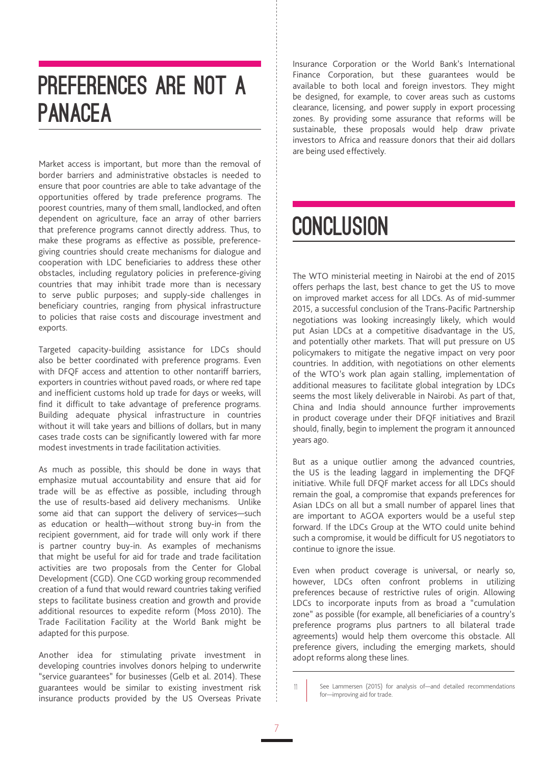#### PREFERENCES ARE NOT A PANACEA

Market access is important, but more than the removal of border barriers and administrative obstacles is needed to ensure that poor countries are able to take advantage of the opportunities offered by trade preference programs. The poorest countries, many of them small, landlocked, and often dependent on agriculture, face an array of other barriers that preference programs cannot directly address. Thus, to make these programs as effective as possible, preferencegiving countries should create mechanisms for dialogue and cooperation with LDC beneficiaries to address these other obstacles, including regulatory policies in preference-giving countries that may inhibit trade more than is necessary to serve public purposes; and supply-side challenges in beneficiary countries, ranging from physical infrastructure to policies that raise costs and discourage investment and exports.

Targeted capacity-building assistance for LDCs should also be better coordinated with preference programs. Even with DFQF access and attention to other nontariff barriers, exporters in countries without paved roads, or where red tape and inefficient customs hold up trade for days or weeks, will find it difficult to take advantage of preference programs. Building adequate physical infrastructure in countries without it will take years and billions of dollars, but in many cases trade costs can be significantly lowered with far more modest investments in trade facilitation activities.

As much as possible, this should be done in ways that emphasize mutual accountability and ensure that aid for trade will be as effective as possible, including through the use of results-based aid delivery mechanisms. Unlike some aid that can support the delivery of services—such as education or health—without strong buy-in from the recipient government, aid for trade will only work if there is partner country buy-in. As examples of mechanisms that might be useful for aid for trade and trade facilitation activities are two proposals from the Center for Global Development (CGD). One CGD working group recommended creation of a fund that would reward countries taking verified steps to facilitate business creation and growth and provide additional resources to expedite reform (Moss 2010). The Trade Facilitation Facility at the World Bank might be adapted for this purpose.

Another idea for stimulating private investment in developing countries involves donors helping to underwrite "service guarantees" for businesses (Gelb et al. 2014). These guarantees would be similar to existing investment risk insurance products provided by the US Overseas Private

Insurance Corporation or the World Bank's International Finance Corporation, but these guarantees would be available to both local and foreign investors. They might be designed, for example, to cover areas such as customs clearance, licensing, and power supply in export processing zones. By providing some assurance that reforms will be sustainable, these proposals would help draw private investors to Africa and reassure donors that their aid dollars are being used effectively.

### **CONCLUSION**

The WTO ministerial meeting in Nairobi at the end of 2015 offers perhaps the last, best chance to get the US to move on improved market access for all LDCs. As of mid-summer 2015, a successful conclusion of the Trans-Pacific Partnership negotiations was looking increasingly likely, which would put Asian LDCs at a competitive disadvantage in the US, and potentially other markets. That will put pressure on US policymakers to mitigate the negative impact on very poor countries. In addition, with negotiations on other elements of the WTO's work plan again stalling, implementation of additional measures to facilitate global integration by LDCs seems the most likely deliverable in Nairobi. As part of that, China and India should announce further improvements in product coverage under their DFQF initiatives and Brazil should, finally, begin to implement the program it announced years ago.

But as a unique outlier among the advanced countries, the US is the leading laggard in implementing the DFQF initiative. While full DFQF market access for all LDCs should remain the goal, a compromise that expands preferences for Asian LDCs on all but a small number of apparel lines that are important to AGOA exporters would be a useful step forward. If the LDCs Group at the WTO could unite behind such a compromise, it would be difficult for US negotiators to continue to ignore the issue.

Even when product coverage is universal, or nearly so, however, LDCs often confront problems in utilizing preferences because of restrictive rules of origin. Allowing LDCs to incorporate inputs from as broad a "cumulation zone" as possible (for example, all beneficiaries of a country's preference programs plus partners to all bilateral trade agreements) would help them overcome this obstacle. All preference givers, including the emerging markets, should adopt reforms along these lines.

See Lammersen (2015) for analysis of—and detailed recommendations for—improving aid for trade.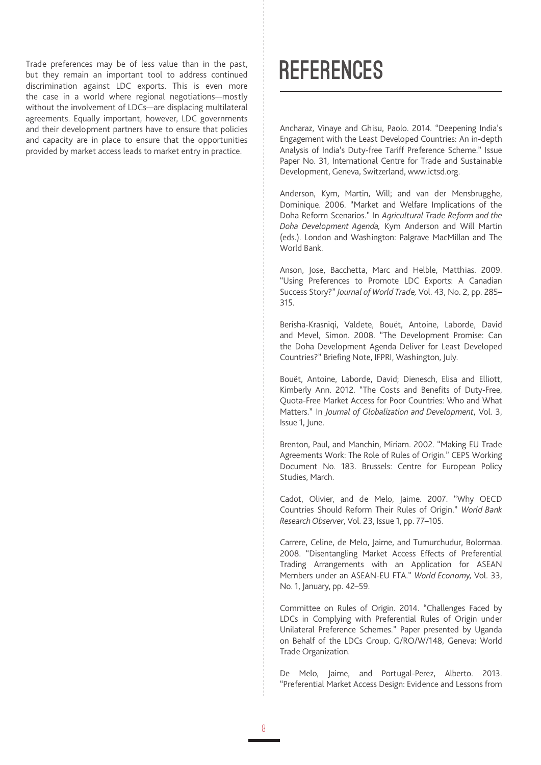Trade preferences may be of less value than in the past, but they remain an important tool to address continued discrimination against LDC exports. This is even more the case in a world where regional negotiations—mostly without the involvement of LDCs—are displacing multilateral agreements. Equally important, however, LDC governments and their development partners have to ensure that policies and capacity are in place to ensure that the opportunities provided by market access leads to market entry in practice.

#### **REFERENCES**

Ancharaz, Vinaye and Ghisu, Paolo. 2014. "Deepening India's Engagement with the Least Developed Countries: An in-depth Analysis of India's Duty-free Tariff Preference Scheme." Issue Paper No. 31, International Centre for Trade and Sustainable Development, Geneva, Switzerland, www.ictsd.org.

Anderson, Kym, Martin, Will; and van der Mensbrugghe, Dominique. 2006. "Market and Welfare Implications of the Doha Reform Scenarios." In *Agricultural Trade Reform and the Doha Development Agenda,* Kym Anderson and Will Martin (eds.). London and Washington: Palgrave MacMillan and The World Bank.

Anson, Jose, Bacchetta, Marc and Helble, Matthias. 2009. "Using Preferences to Promote LDC Exports: A Canadian Success Story?" *Journal of World Trade,* Vol. 43, No. 2, pp. 285– 315.

Berisha-Krasniqi, Valdete, Bouët, Antoine, Laborde, David and Mevel, Simon. 2008. "The Development Promise: Can the Doha Development Agenda Deliver for Least Developed Countries?" Briefing Note, IFPRI, Washington, July.

Bouët, Antoine, Laborde, David; Dienesch, Elisa and Elliott, Kimberly Ann. 2012. "The Costs and Benefits of Duty-Free, Quota-Free Market Access for Poor Countries: Who and What Matters." In *Journal of Globalization and Development*, Vol. 3, Issue 1, June.

Brenton, Paul, and Manchin, Miriam. 2002. "Making EU Trade Agreements Work: The Role of Rules of Origin." CEPS Working Document No. 183. Brussels: Centre for European Policy Studies, March.

Cadot, Olivier, and de Melo, Jaime. 2007. "Why OECD Countries Should Reform Their Rules of Origin." *World Bank Research Observer*, Vol. 23, Issue 1, pp. 77–105.

Carrere, Celine, de Melo, Jaime, and Tumurchudur, Bolormaa. 2008. "Disentangling Market Access Effects of Preferential Trading Arrangements with an Application for ASEAN Members under an ASEAN-EU FTA." *World Economy,* Vol. 33, No. 1, January, pp. 42–59.

Committee on Rules of Origin. 2014. "Challenges Faced by LDCs in Complying with Preferential Rules of Origin under Unilateral Preference Schemes." Paper presented by Uganda on Behalf of the LDCs Group. G/RO/W/148, Geneva: World Trade Organization.

De Melo, Jaime, and Portugal-Perez, Alberto. 2013. "Preferential Market Access Design: Evidence and Lessons from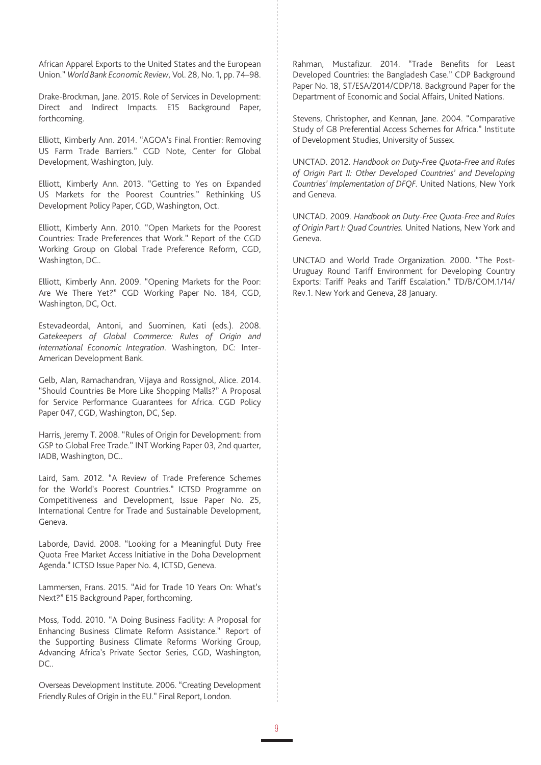African Apparel Exports to the United States and the European Union." *World Bank Economic Review*, Vol. 28, No. 1, pp. 74–98.

Drake-Brockman, Jane. 2015. Role of Services in Development: Direct and Indirect Impacts. E15 Background Paper, forthcoming.

Elliott, Kimberly Ann. 2014. "AGOA's Final Frontier: Removing US Farm Trade Barriers." CGD Note, Center for Global Development, Washington, July.

Elliott, Kimberly Ann. 2013. "Getting to Yes on Expanded US Markets for the Poorest Countries." Rethinking US Development Policy Paper, CGD, Washington, Oct.

Elliott, Kimberly Ann. 2010. "Open Markets for the Poorest Countries: Trade Preferences that Work." Report of the CGD Working Group on Global Trade Preference Reform, CGD, Washington, DC..

Elliott, Kimberly Ann. 2009. "Opening Markets for the Poor: Are We There Yet?" CGD Working Paper No. 184, CGD, Washington, DC, Oct.

Estevadeordal, Antoni, and Suominen, Kati (eds.). 2008. *Gatekeepers of Global Commerce: Rules of Origin and International Economic Integration*. Washington, DC: Inter-American Development Bank.

Gelb, Alan, Ramachandran, Vijaya and Rossignol, Alice. 2014. "Should Countries Be More Like Shopping Malls?" A Proposal for Service Performance Guarantees for Africa. CGD Policy Paper 047, CGD, Washington, DC, Sep.

Harris, Jeremy T. 2008. "Rules of Origin for Development: from GSP to Global Free Trade." INT Working Paper 03, 2nd quarter, IADB, Washington, DC..

Laird, Sam. 2012. "A Review of Trade Preference Schemes for the World's Poorest Countries." ICTSD Programme on Competitiveness and Development, Issue Paper No. 25, International Centre for Trade and Sustainable Development, Geneva.

Laborde, David. 2008. "Looking for a Meaningful Duty Free Quota Free Market Access Initiative in the Doha Development Agenda." ICTSD Issue Paper No. 4, ICTSD, Geneva.

Lammersen, Frans. 2015. "Aid for Trade 10 Years On: What's Next?" E15 Background Paper, forthcoming.

Moss, Todd. 2010. "A Doing Business Facility: A Proposal for Enhancing Business Climate Reform Assistance." Report of the Supporting Business Climate Reforms Working Group, Advancing Africa's Private Sector Series, CGD, Washington, DC..

Overseas Development Institute. 2006. "Creating Development Friendly Rules of Origin in the EU." Final Report, London.

Rahman, Mustafizur. 2014. "Trade Benefits for Least Developed Countries: the Bangladesh Case." CDP Background Paper No. 18, ST/ESA/2014/CDP/18. Background Paper for the Department of Economic and Social Affairs, United Nations.

Stevens, Christopher, and Kennan, Jane. 2004. "Comparative Study of G8 Preferential Access Schemes for Africa." Institute of Development Studies, University of Sussex.

UNCTAD. 2012. *Handbook on Duty-Free Quota-Free and Rules of Origin Part II: Other Developed Countries' and Developing Countries' Implementation of DFQF.* United Nations, New York and Geneva.

UNCTAD. 2009. *Handbook on Duty-Free Quota-Free and Rules of Origin Part I: Quad Countries.* United Nations, New York and Geneva.

UNCTAD and World Trade Organization. 2000. "The Post-Uruguay Round Tariff Environment for Developing Country Exports: Tariff Peaks and Tariff Escalation." TD/B/COM.1/14/ Rev.1. New York and Geneva, 28 January.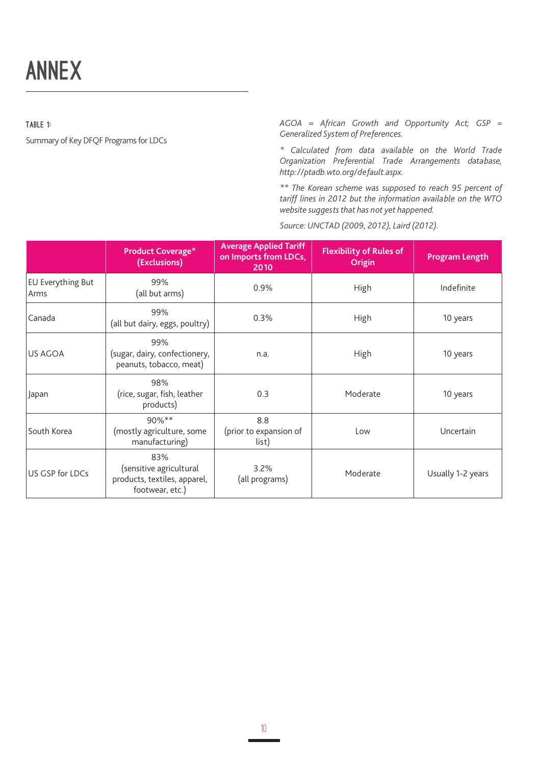TABLE 1:

Summary of Key DFQF Programs for LDCs

*AGOA = African Growth and Opportunity Act; GSP = Generalized System of Preferences.*

*\* Calculated from data available on the World Trade Organization Preferential Trade Arrangements database, http://ptadb.wto.org/default.aspx.*

*\*\* The Korean scheme was supposed to reach 95 percent of tariff lines in 2012 but the information available on the WTO website suggests that has not yet happened.*

*Source: UNCTAD (2009, 2012), Laird (2012).*

|                                  | <b>Product Coverage*</b><br>(Exclusions)                                          | <b>Average Applied Tariff</b><br>on Imports from LDCs,<br>2010 | <b>Flexibility of Rules of</b><br>Origin | <b>Program Length</b> |
|----------------------------------|-----------------------------------------------------------------------------------|----------------------------------------------------------------|------------------------------------------|-----------------------|
| <b>EU Everything But</b><br>Arms | 99%<br>(all but arms)                                                             | 0.9%                                                           | High                                     | Indefinite            |
| Canada                           | 99%<br>(all but dairy, eggs, poultry)                                             | 0.3%                                                           | High                                     | 10 years              |
| <b>IUS AGOA</b>                  | 99%<br>(sugar, dairy, confectionery,<br>peanuts, tobacco, meat)                   | n.a.                                                           | High                                     | 10 years              |
| Japan                            | 98%<br>(rice, sugar, fish, leather<br>products)                                   | 0.3                                                            | Moderate                                 | 10 years              |
| South Korea                      | 90%**<br>(mostly agriculture, some<br>manufacturing)                              | 8.8<br>(prior to expansion of<br>list)                         | Low                                      | Uncertain             |
| US GSP for LDCs                  | 83%<br>(sensitive agricultural<br>products, textiles, apparel,<br>footwear, etc.) | 3.2%<br>(all programs)                                         | Moderate                                 | Usually 1-2 years     |